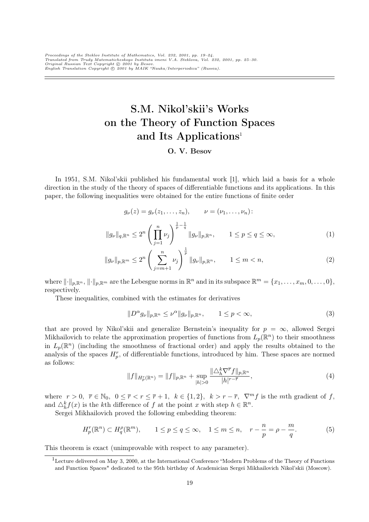# S.M. Nikol'skii's Works on the Theory of Function Spaces and Its Applications<sup>1</sup>

## O. V. Besov

In 1951, S.M. Nikol'skii published his fundamental work [1], which laid a basis for a whole direction in the study of the theory of spaces of differentiable functions and its applications. In this paper, the following inequalities were obtained for the entire functions of finite order

$$
g_{\nu}(z) = g_{\nu}(z_1, \dots, z_n), \qquad \nu = (\nu_1, \dots, \nu_n):
$$
  

$$
\nu = (\nu_1, \dots, \nu_n):
$$
  

$$
\nu = (\nu_1, \dots, \nu_n):
$$
  

$$
\nu = (\nu_1, \dots, \nu_n):
$$

$$
||g_{\nu}||_{q,\mathbb{R}^n} \leq 2^n \left(\prod_{j=1}^n \nu_j\right)^{\nu-q} ||g_{\nu}||_{p,\mathbb{R}^n}, \qquad 1 \leq p \leq q \leq \infty,
$$
 (1)

$$
||g_{\nu}||_{p,\mathbb{R}^m} \le 2^n \left(\sum_{j=m+1}^n \nu_j\right)^{\frac{1}{p}} ||g_{\nu}||_{p,\mathbb{R}^n}, \qquad 1 \le m < n,
$$
\n(2)

where  $\lVert \cdot \rVert_{p,\mathbb{R}^n}$ ,  $\lVert \cdot \rVert_{p,\mathbb{R}^m}$  are the Lebesgue norms in  $\mathbb{R}^n$  and in its subspace  $\mathbb{R}^m = \{x_1, \ldots, x_m, 0, \ldots, 0\}$ , respectively.

These inequalities, combined with the estimates for derivatives

$$
||D^{\alpha}g_{\nu}||_{p,\mathbb{R}^n} \le \nu^{\alpha}||g_{\nu}||_{p,\mathbb{R}^n}, \qquad 1 \le p < \infty,
$$
\n(3)

that are proved by Nikol'skii and generalize Bernstein's inequality for  $p = \infty$ , allowed Sergei Mikhailovich to relate the approximation properties of functions from  $L_p(\mathbb{R}^n)$  to their smoothness in  $L_p(\mathbb{R}^n)$  (including the smoothness of fractional order) and apply the results obtained to the analysis of the spaces  $H_p^r$ , of differentiable functions, introduced by him. These spaces are normed as follows:

$$
||f||_{H_p^r(\mathbb{R}^n)} = ||f||_{p,\mathbb{R}^n} + \sup_{|h|>0} \frac{||\triangle_h^k \nabla^{\overline{r}} f||_{p,\mathbb{R}^n}}{|h|^{r-\overline{r}}},\tag{4}
$$

where  $r > 0$ ,  $\overline{r} \in \mathbb{N}_0$ ,  $0 \leq \overline{r} < r \leq \overline{r} + 1$ ,  $k \in \{1, 2\}$ ,  $k > r - \overline{r}$ ,  $\nabla^m f$  is the mth gradient of f, and  $\triangle_{h}^{k} f(x)$  is the kth difference of f at the point x with step  $h \in \mathbb{R}^{n}$ .

Sergei Mikhailovich proved the following embedding theorem:

$$
H_p^r(\mathbb{R}^n) \subset H_q^{\rho}(\mathbb{R}^m), \qquad 1 \le p \le q \le \infty, \quad 1 \le m \le n, \quad r - \frac{n}{p} = \rho - \frac{m}{q}.
$$
 (5)

This theorem is exact (unimprovable with respect to any parameter).

 $1$ Lecture delivered on May 3, 2000, at the International Conference "Modern Problems of the Theory of Functions and Function Spaces" dedicated to the 95th birthday of Academician Sergei Mikhailovich Nikol'skii (Moscow).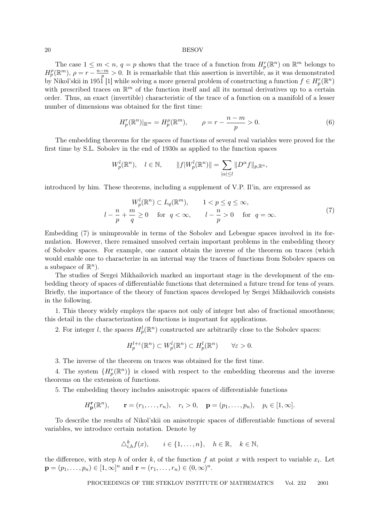#### 20 BESOV

The case  $1 \leq m < n$ ,  $q = p$  shows that the trace of a function from  $H_p^r(\mathbb{R}^n)$  on  $\mathbb{R}^m$  belongs to  $H_p^{\rho}(\mathbb{R}^m)$ ,  $\rho = r - \frac{n-m}{p} > 0$ . It is remarkable that this assertion is invertible, as it was demonstrated by Nikol'skii in 1951 [1] while solving a more general problem of constructing a function  $f \in H_p^r(\mathbb{R}^n)$ with prescribed traces on  $\mathbb{R}^m$  of the function itself and all its normal derivatives up to a certain order. Thus, an exact (invertible) characteristic of the trace of a function on a manifold of a lesser number of dimensions was obtained for the first time:

$$
H_p^r(\mathbb{R}^n)|_{\mathbb{R}^m} = H_p^{\rho}(\mathbb{R}^m), \qquad \rho = r - \frac{n - m}{p} > 0.
$$
 (6)

The embedding theorems for the spaces of functions of several real variables were proved for the first time by S.L. Sobolev in the end of 1930s as applied to the function spaces

$$
W_p^l(\mathbb{R}^n), \quad l \in \mathbb{N}, \qquad ||f|W_p^l(\mathbb{R}^n)|| = \sum_{|\alpha| \le l} ||D^{\alpha}f||_{p,\mathbb{R}^n},
$$

introduced by him. These theorems, including a supplement of V.P. Il'in, are expressed as

$$
W_p^l(\mathbb{R}^n) \subset L_q(\mathbb{R}^m), \qquad 1 < p \le q \le \infty,
$$
\n
$$
l - \frac{n}{p} + \frac{m}{q} \ge 0 \qquad \text{for} \quad q < \infty, \qquad l - \frac{n}{p} > 0 \qquad \text{for} \quad q = \infty. \tag{7}
$$

Embedding (7) is unimprovable in terms of the Sobolev and Lebesgue spaces involved in its formulation. However, there remained unsolved certain important problems in the embedding theory of Sobolev spaces. For example, one cannot obtain the inverse of the theorem on traces (which would enable one to characterize in an internal way the traces of functions from Sobolev spaces on a subspace of  $\mathbb{R}^n$ ).

The studies of Sergei Mikhailovich marked an important stage in the development of the embedding theory of spaces of differentiable functions that determined a future trend for tens of years. Briefly, the importance of the theory of function spaces developed by Sergei Mikhailovich consists in the following.

1. This theory widely employs the spaces not only of integer but also of fractional smoothness; this detail in the characterization of functions is important for applications.

2. For integer *l*, the spaces  $H_p^l(\mathbb{R}^n)$  constructed are arbitrarily close to the Sobolev spaces:

$$
H_p^{l+\varepsilon}(\mathbb{R}^n) \subset W_p^l(\mathbb{R}^n) \subset H_p^l(\mathbb{R}^n) \qquad \forall \varepsilon > 0.
$$

3. The inverse of the theorem on traces was obtained for the first time.

4. The system  $\{H_p^r(\mathbb{R}^n)\}\$ is closed with respect to the embedding theorems and the inverse theorems on the extension of functions.

5. The embedding theory includes anisotropic spaces of differentiable functions

$$
H_{\mathbf{p}}^{\mathbf{r}}(\mathbb{R}^n), \qquad \mathbf{r} = (r_1, \ldots, r_n), \quad r_i > 0, \quad \mathbf{p} = (p_1, \ldots, p_n), \quad p_i \in [1, \infty].
$$

To describe the results of Nikol'skii on anisotropic spaces of differentiable functions of several variables, we introduce certain notation. Denote by

$$
\triangle_{i,h}^k f(x), \qquad i \in \{1,\ldots,n\}, \quad h \in \mathbb{R}, \quad k \in \mathbb{N},
$$

the difference, with step h of order k, of the function f at point x with respect to variable  $x_i$ . Let  $\mathbf{p} = (p_1, \dots, p_n) \in [1, \infty]^n$  and  $\mathbf{r} = (r_1, \dots, r_n) \in (0, \infty)^n$ .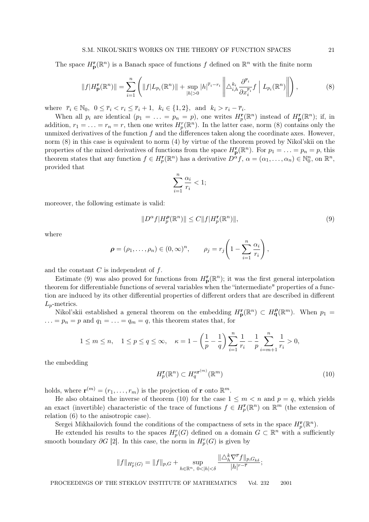The space  $H_{\mathbf{p}}^{\mathbf{r}}(\mathbb{R}^n)$  is a Banach space of functions f defined on  $\mathbb{R}^n$  with the finite norm

$$
||f|H_{\mathbf{p}}^{\mathbf{r}}(\mathbb{R}^n)|| = \sum_{i=1}^n \left( ||f|L_{p_i}(\mathbb{R}^n)|| + \sup_{|h|>0} |h|^{\overline{r}_i - r_i} \left\| \Delta_{i,h}^{k_i} \frac{\partial^{\overline{r}_i}}{\partial x_i^{\overline{r}_i}} f \mid L_{p_i}(\mathbb{R}^n) \right\| \right),\tag{8}
$$

where  $\bar{r}_i \in \mathbb{N}_0$ ,  $0 \le \bar{r}_i < r_i \le \bar{r}_i + 1$ ,  $k_i \in \{1, 2\}$ , and  $k_i > r_i - \bar{r}_i$ .

When all  $p_i$  are identical  $(p_1 = \ldots = p_n = p)$ , one writes  $H_p^{\mathbf{r}}(\mathbb{R}^n)$  instead of  $H_p^{\mathbf{r}}(\mathbb{R}^n)$ ; if, in addition,  $r_1 = \ldots = r_n = r$ , then one writes  $H_p^r(\mathbb{R}^n)$ . In the latter case, norm (8) contains only the unmixed derivatives of the function  $f$  and the differences taken along the coordinate axes. However, norm (8) in this case is equivalent to norm (4) by virtue of the theorem proved by Nikol'skii on the properties of the mixed derivatives of functions from the space  $H_{\mathbf{p}}^{\mathbf{r}}(\mathbb{R}^n)$ . For  $p_1 = \ldots = p_n = p$ , this theorem states that any function  $f \in H_p^{\mathbf{r}}(\mathbb{R}^n)$  has a derivative  $D^{\alpha} f$ ,  $\alpha = (\alpha_1, \dots, \alpha_n) \in \mathbb{N}_0^n$ , on  $\mathbb{R}^n$ , provided that

$$
\sum_{i=1}^{n} \frac{\alpha_i}{r_i} < 1;
$$

moreover, the following estimate is valid:

$$
||D^{\alpha}f|H_p^{\rho}(\mathbb{R}^n)|| \le C||f|H_p^{\mathbf{r}}(\mathbb{R}^n)||,
$$
\n(9)

where

$$
\boldsymbol{\rho} = (\rho_1, \ldots, \rho_n) \in (0, \infty)^n, \qquad \rho_j = r_j \left( 1 - \sum_{i=1}^n \frac{\alpha_i}{r_i} \right),
$$

and the constant  $C$  is independent of  $f$ .

Estimate (9) was also proved for functions from  $H_{\mathbf{p}}^{\mathbf{r}}(\mathbb{R}^n)$ ; it was the first general interpolation theorem for differentiable functions of several variables when the "intermediate" properties of a function are induced by its other differential properties of different orders that are described in different  $L_p$ -metrics.

Nikol'skii established a general theorem on the embedding  $H_{\mathbf{p}}^{\mathbf{r}}(\mathbb{R}^n) \subset H_{\mathbf{q}}^{\rho}(\mathbb{R}^m)$ . When  $p_1 =$  $\ldots = p_n = p$  and  $q_1 = \ldots = q_m = q$ , this theorem states that, for

$$
1 \leq m \leq n, \quad 1 \leq p \leq q \leq \infty, \quad \kappa = 1 - \left(\frac{1}{p} - \frac{1}{q}\right) \sum_{i=1}^{n} \frac{1}{r_i} - \frac{1}{p} \sum_{i=m+1}^{n} \frac{1}{r_i} > 0,
$$

the embedding

$$
H_p^{\mathbf{r}}(\mathbb{R}^n) \subset H_q^{\kappa \mathbf{r}^{(m)}}(\mathbb{R}^m) \tag{10}
$$

holds, where  $\mathbf{r}^{(m)} = (r_1, \ldots, r_m)$  is the projection of **r** onto  $\mathbb{R}^m$ .

He also obtained the inverse of theorem (10) for the case  $1 \leq m < n$  and  $p = q$ , which yields an exact (invertible) characteristic of the trace of functions  $f \in H_p^{\mathbf{r}}(\mathbb{R}^n)$  on  $\mathbb{R}^m$  (the extension of relation (6) to the anisotropic case).

Sergei Mikhailovich found the conditions of the compactness of sets in the space  $H_p^{\mathbf{r}}(\mathbb{R}^n)$ .

He extended his results to the spaces  $H_p^r(G)$  defined on a domain  $G \subset \mathbb{R}^n$  with a sufficiently smooth boundary  $\partial G$  [2]. In this case, the norm in  $H_p^r(G)$  is given by

$$
||f||_{H_p^r(G)} = ||f||_{p,G} + \sup_{h \in \mathbb{R}^n, \ 0 < |h| < \delta} \frac{||\triangle_h^k \nabla^{\overline{r}} f||_{p,G_{k\delta}}}{|h|^{\mathbf{r}-\overline{\mathbf{r}}}};
$$

PROCEEDINGS OF THE STEKLOV INSTITUTE OF MATHEMATICS Vol. 232 2001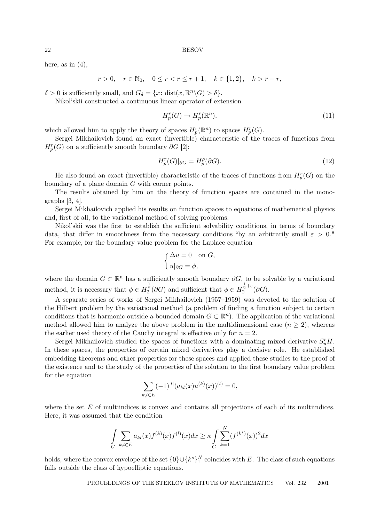here, as in  $(4)$ ,

$$
r > 0
$$
,  $\bar{r} \in \mathbb{N}_0$ ,  $0 \le \bar{r} < r \le \bar{r} + 1$ ,  $k \in \{1, 2\}$ ,  $k > r - \bar{r}$ ,

 $\delta > 0$  is sufficiently small, and  $G_{\delta} = \{x : \text{dist}(x, \mathbb{R}^n \setminus G) > \delta\}.$ 

Nikol'skii constructed a continuous linear operator of extension

$$
H_p^r(G) \to H_p^r(\mathbb{R}^n),\tag{11}
$$

which allowed him to apply the theory of spaces  $H_p^r(\mathbb{R}^n)$  to spaces  $H_p^r(G)$ .

Sergei Mikhailovich found an exact (invertible) characteristic of the traces of functions from  $H_p^r(G)$  on a sufficiently smooth boundary ∂G [2]:

$$
H_p^r(G)|_{\partial G} = H_p^{\rho}(\partial G). \tag{12}
$$

He also found an exact (invertible) characteristic of the traces of functions from  $H_p^r(G)$  on the boundary of a plane domain G with corner points.

The results obtained by him on the theory of function spaces are contained in the monographs [3, 4].

Sergei Mikhailovich applied his results on function spaces to equations of mathematical physics and, first of all, to the variational method of solving problems.

Nikol'skii was the first to establish the sufficient solvability conditions, in terms of boundary data, that differ in smoothness from the necessary conditions "by an arbitrarily small  $\varepsilon > 0$ ." For example, for the boundary value problem for the Laplace equation

$$
\begin{cases} \Delta u = 0 \quad \text{on } G, \\ u|_{\partial G} = \phi, \end{cases}
$$

where the domain  $G \subset \mathbb{R}^n$  has a sufficiently smooth boundary  $\partial G$ , to be solvable by a variational method, it is necessary that  $\phi \in H_2^{\frac{1}{2}}(\partial G)$  and sufficient that  $\phi \in H_2^{\frac{1}{2}+\varepsilon}(\partial G)$ .

A separate series of works of Sergei Mikhailovich (1957–1959) was devoted to the solution of the Hilbert problem by the variational method (a problem of finding a function subject to certain conditions that is harmonic outside a bounded domain  $G \subset \mathbb{R}^n$ ). The application of the variational method allowed him to analyze the above problem in the multidimensional case  $(n \geq 2)$ , whereas the earlier used theory of the Cauchy integral is effective only for  $n = 2$ .

Sergei Mikhailovich studied the spaces of functions with a dominating mixed derivative  $S_p^r H$ . In these spaces, the properties of certain mixed derivatives play a decisive role. He established embedding theorems and other properties for these spaces and applied these studies to the proof of the existence and to the study of the properties of the solution to the first boundary value problem for the equation

$$
\sum_{k,l \in E} (-1)^{|l|} (a_{kl}(x)u^{(k)}(x))^{(l)} = 0,
$$

where the set  $E$  of multiindices is convex and contains all projections of each of its multiindices. Here, it was assumed that the condition

$$
\int_{G} \sum_{k,l \in E} a_{kl}(x) f^{(k)}(x) f^{(l)}(x) dx \ge \kappa \int_{G} \sum_{k=1}^{N} (f^{(k^s)}(x))^2 dx
$$

holds, where the convex envelope of the set  $\{0\} \cup \{k^s\}^N_1$  coincides with  $E.$  The class of such equations falls outside the class of hypoelliptic equations.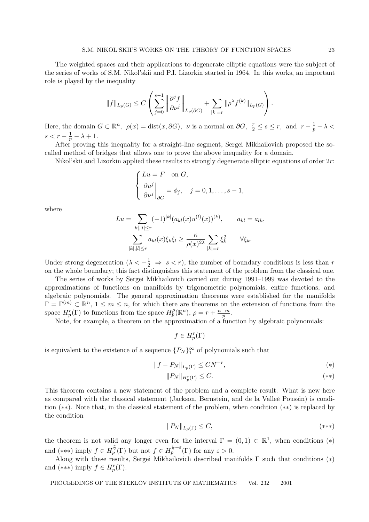The weighted spaces and their applications to degenerate elliptic equations were the subject of the series of works of S.M. Nikol'skii and P.I. Lizorkin started in 1964. In this works, an important role is played by the inequality

$$
||f||_{L_p(G)} \leq C \left( \sum_{j=0}^{s-1} \left\| \frac{\partial^j f}{\partial \nu^j} \right\|_{L_p(\partial G)} + \sum_{|k|=r} \|\rho^{\lambda} f^{(k)}\|_{L_p(G)} \right).
$$

Here, the domain  $G \subset \mathbb{R}^n$ ,  $\rho(x) = \text{dist}(x, \partial G)$ ,  $\nu$  is a normal on  $\partial G$ ,  $\frac{r}{2} \leq s \leq r$ , and  $r - \frac{1}{p} - \lambda <$  $s < r - \frac{1}{p} - \lambda + 1.$ 

After proving this inequality for a straight-line segment, Sergei Mikhailovich proposed the socalled method of bridges that allows one to prove the above inequality for a domain.

Nikol'skii and Lizorkin applied these results to strongly degenerate elliptic equations of order 2r:

$$
\begin{cases}\nLu = F & \text{on } G, \\
\frac{\partial u^j}{\partial \nu^j}\Big|_{\partial G} = \phi_j, \quad j = 0, 1, \dots, s - 1,\n\end{cases}
$$

where

$$
Lu = \sum_{|k|,|l| \le r} (-1)^{|k|} (a_{kl}(x)u^{(l)}(x))^{(k)}, \qquad a_{kl} = a_{lk},
$$

$$
\sum_{|k|,|l| \le r} a_{kl}(x)\xi_k \xi_l \ge \frac{\kappa}{\rho(x)^{2\lambda}} \sum_{|k|=r} \xi_k^2 \qquad \forall \xi_k.
$$

Under strong degeneration  $(\lambda < -\frac{1}{2} \Rightarrow s < r)$ , the number of boundary conditions is less than r on the whole boundary; this fact distinguishes this statement of the problem from the classical one.

The series of works by Sergei Mikhailovich carried out during 1991–1999 was devoted to the approximations of functions on manifolds by trigonometric polynomials, entire functions, and algebraic polynomials. The general approximation theorems were established for the manifolds  $\Gamma = \Gamma^{(m)} \subset \mathbb{R}^n$ ,  $1 \leq m \leq n$ , for which there are theorems on the extension of functions from the space  $H_p^r(\Gamma)$  to functions from the space  $H_p^{\rho}(\mathbb{R}^n)$ ,  $\rho = r + \frac{n-m}{p}$  $\frac{-m}{p}$  .

Note, for example, a theorem on the approximation of a function by algebraic polynomials:

 $f \in H_p^r(\Gamma)$ 

is equivalent to the existence of a sequence  ${P_N}_{1}^{\infty}$  of polynomials such that

$$
||f - P_N||_{L_p(\Gamma)} \le C N^{-r},\tag{*}
$$

$$
||P_N||_{H_p^r(\Gamma)} \le C. \tag{**}
$$

This theorem contains a new statement of the problem and a complete result. What is new here as compared with the classical statement (Jackson, Bernstein, and de la Valleé Poussin) is condition (∗∗). Note that, in the classical statement of the problem, when condition (∗∗) is replaced by the condition

$$
||P_N||_{L_p(\Gamma)} \le C,\tag{***}
$$

the theorem is not valid any longer even for the interval  $\Gamma = (0,1) \subset \mathbb{R}^1$ , when conditions (\*) and  $(***)$  imply  $f \in H_p^{\frac{r}{2}}(\Gamma)$  but not  $f \in H_p^{\frac{r}{2}+\varepsilon}(\Gamma)$  for any  $\varepsilon > 0$ .

Along with these results, Sergei Mikhailovich described manifolds Γ such that conditions (∗) and (\*\*\*) imply  $f \in H_p^r(\Gamma)$ .

PROCEEDINGS OF THE STEKLOV INSTITUTE OF MATHEMATICS Vol. 232 2001